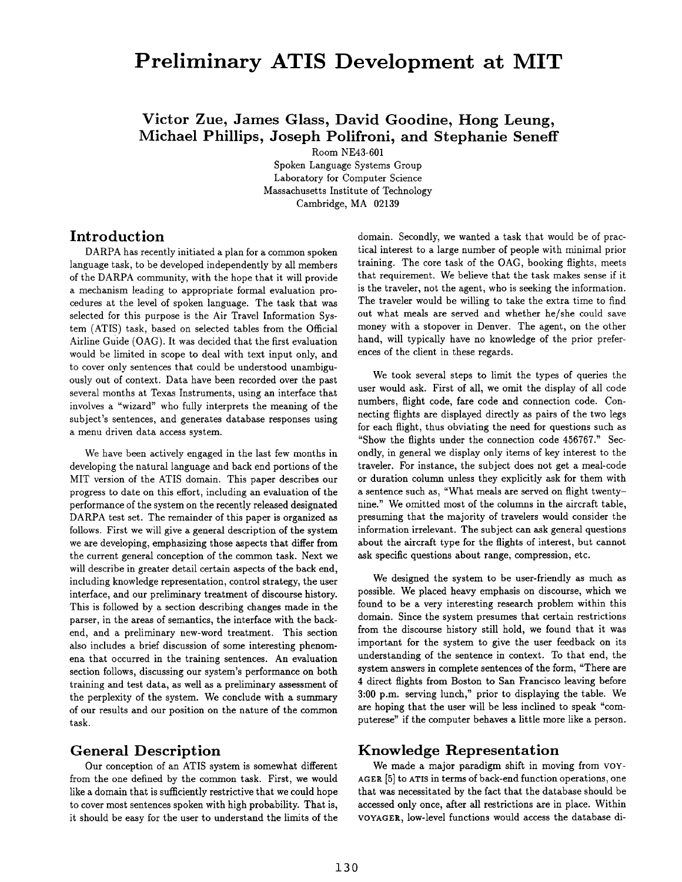# **Preliminary ATIS Development at MIT**

## **Victor Zue, James Glass, David Goodine, Hong Leung, Michael Phillips, Joseph Polifroni, and Stephanie Seneff**

Room NE43-601

Spoken Language Systems Group Laboratory for Computer Science Massachusetts Institute of Technology Cambridge, MA 02139

### **Introduction**

DARPA has recently initiated a plan for a common spoken language task, to be developed independently by all members of the DARPA community, with the hope that it will provide a mechanism leading to appropriate formal evaluation procedures at the level of spoken language. The task that was selected for this purpose is the Air Travel Information System (ATIS) task, based on selected tables from the Official Airline Guide (OAG). It was decided that the first evaluation would be limited in scope to deal with text input only, and to cover only sentences that could be understood unambiguously out of context. Data have been recorded over the past several months at Texas Instruments, using an interface that involves a "wizard" who fully interprets the meaning of the subject's sentences, and generates database responses using a menu driven data access system.

We have been actively engaged in the last few months in developing the natural language and back end portions of the MIT version of the ATIS domain. This paper describes our progress to date on this effort, including an evaluation of the performance of the system on the recently released designated DARPA test set. The remainder of this paper is organized as follows. First we will give a general description of the system we are developing, emphasizing those aspects that differ from the current general conception of the common task. Next we will describe in greater detail certain aspects of the back end, including knowledge representation, control strategy, the user interface, and our preliminary treatment of discourse history. This is followed by a section describing changes made in the parser, in the areas of semantics, the interface with the backend, and a preliminary new-word treatment. This section also includes a brief discussion of some interesting phenomena that occurred in the training sentences. An evaluation section follows, discussing our system's performance on both training and test data, as well as a preliminary assessment of the perplexity of the system. We conclude with a summary of our results and our position on the nature of the common task.

## **General Description**

Our conception of an ATIS system is somewhat different from the one defined by the common task. First, we would like a domain that is sufficiently restrictive that we could hope to cover most sentences spoken with high probability. That is, it should be easy for the user to understand the limits of the domain. Secondly, we wanted a task that would be of practical interest to a large number of people with minimal prior training. The core task of the OAG, booking flights, meets that requirement. We believe that the task makes sense if it is the traveler, not the agent, who is seeking the information. The traveler would be willing to take the extra time to find out what meals are served and whether he/she could save money with a stopover in Denver. The agent, on the other hand, will typically have no knowledge of the prior preferences of the client in these regards.

We took several steps to limit the types of queries the user would ask. First of all, we omit the display of all code numbers, flight code, fare code and connection code. Connecting flights axe displayed directly as pairs of the two legs for each flight, thus obviating the need for questions such as "Show the flights under the connection code 456767." Secondly, in general we display only items of key interest to the traveler. For instance, the subject does not get a meal-code or duration column unless they explicitly ask for them with a sentence such as, "What meals are served on flight twentynine." We omitted most of the columns in the aircraft table, presuming that the majority of travelers would consider the information irrelevant. The subject can ask general questions about the aircraft type for the flights of interest, but cannot ask specific questions about range, compression, etc.

We designed the system to be user-friendly as much as possible. We placed heavy emphasis on discourse, which we found to be a very interesting research problem within this domain. Since the system presumes that certain restrictions from the discourse history still hold, we found that it was important for the system to give the user feedback on its understanding of the sentence in context. To that end, the system answers in complete sentences of the form, "There axe 4 direct flights from Boston to San Francisco leaving before 3:00 p.m. serving lunch," prior to displaying the table. We are hoping that the user will be less inclined to speak "computerese" if the computer behaves a little more like a person.

## **Knowledge Representation**

We made a major paradigm shift in moving from VOY-AGER [5] to ATIS in terms of back-end function operations, one that was necessitated by the fact that the database should be accessed only once, after all restrictions are in place. Within VOYAGER, low-level functions would access the database di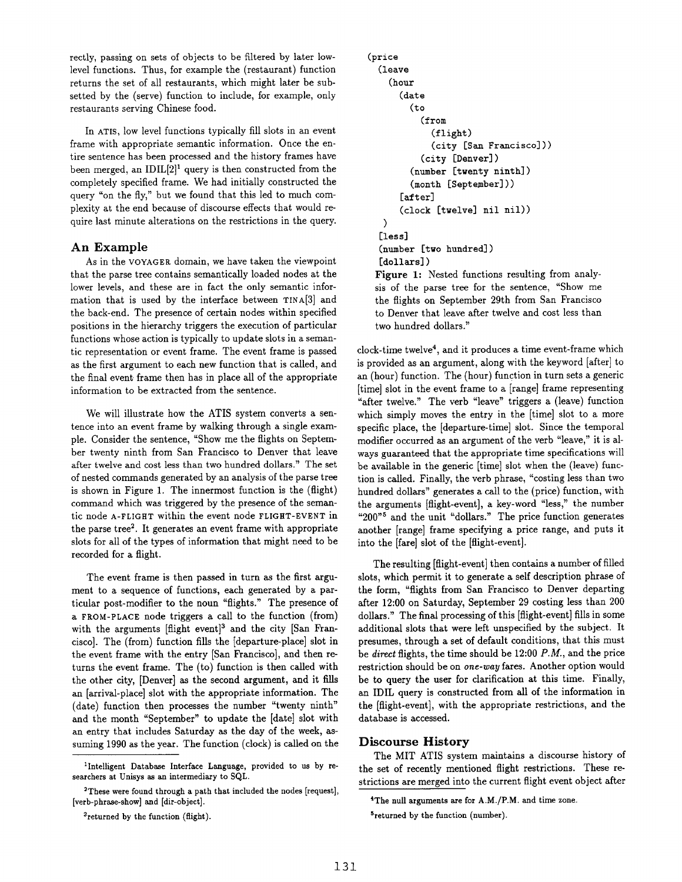rectly, passing on sets of objects to be filtered by later lowlevel functions. Thus, for example the (restaurant) function returns the set of all restaurants, which might later be subsetted by the (serve) function to include, for example, only restaurants serving Chinese food.

In ATIS, low level functions typically fill slots in an event frame with appropriate semantic information. Once the entire sentence has been processed and the history frames have been merged, an  $IDIL[2]$ <sup>1</sup> query is then constructed from the completely specified frame. We had initially constructed the query "on the fly," but we found that this led to much complexity at the end because of discourse effects that would require last minute alterations on the restrictions in the query.

#### **An Example**

As in the VOYAGER domain, we have taken the viewpoint that the parse tree contains semantically loaded nodes at the lower levels, and these are in fact the only semantic information that is used by the interface between TINA[3] and the back-end. The presence of certain nodes within specified positions in the hierarchy triggers the execution of particular functions whose action is typically to update slots in a semantic representation or event frame. The event frame is passed as the first argument to each new function that is called, and the final event frame then has in place all of the appropriate information to be extracted from the sentence.

We will illustrate how the ATIS system converts a sentence into an event frame by walking through a single example. Consider the sentence, "Show me the flights on September twenty ninth from San Francisco to Denver that leave after twelve and cost less than two hundred dollars." The set of nested commands generated by an analysis of the parse tree is shown in Figure 1. The innermost function is the (flight) command which was triggered by the presence of the semantic node A-FLIGHT within the event node FLIGHT-EVENT in the parse tree<sup>2</sup>. It generates an event frame with appropriate slots for all of the types of information that might need to be recorded for a flight.

The event frame is then passed in turn as the first argument to a sequence of functions, each generated by a particular post-modifier to the noun "flights." The presence of a FROM-PLACE node triggers a call to the function (from) with the arguments  $[\text{flight event}]^3$  and the city  $[\text{San Fran-}$ cisco]. The (from) function fills the [departure-place] slot in the event frame with the entry [San Francisco], and then returns the event frame. The (to) function is then called with the other city, [Denver] as the second argument, and it fills an [arrival-place] slot with the appropriate information. The (date) function then processes the number "twenty ninth" and the month "September" to update the [date] slot with an entry that includes Saturday as the day of the week, assuming 1990 as the year. The function (clock) is called on the

```
3returned by the function (flight).
```

```
(price 
(leave 
  (hour 
     (date 
       (to 
          (from 
            (flight) 
            (city [San Francisco])) 
          (city [Denver] ) 
       (number [twenty ninth]) 
       (month [September])) 
     [after] 
     (clock [twelve] nil nil)) 
 \lambda[less]
(number [two hundred]) 
[dollars] )
```
Figure 1: Nested functions resulting from analysis of the parse tree for the sentence, "Show me the flights on September 29th from San Francisco to Denver that leave after twelve and cost less than two hundred dollars."

clock-time twelve<sup>4</sup>, and it produces a time event-frame which is provided as an argument, along with the keyword [after] to an (hour) function. The (hour) function in turn sets a generic [time] slot in the event frame to a [range] frame representing "after twelve." The verb "leave" triggers a (leave) function which simply moves the entry in the [time] slot to a more specific place, the [departure-time] slot. Since the temporal modifier occurred as an argument of the verb "leave," it is always guaranteed that the appropriate time specifications will be available in the generic [time] slot when the (leave) function is called. Finally, the verb phrase, "costing less than two hundred dollars" generates a call to the (price) function, with the arguments [flight-event], a key-word "less," the number " $200"$ <sup>5</sup> and the unit "dollars." The price function generates another [range] frame specifying a price range, and puts it into the [fare] slot of the [flight-event].

The resulting [flight-event] then contains a number of filled slots, which permit it to generate a self description phrase of the form, "flights from San Francisco to Denver departing after 12:00 on Saturday, September 29 costing less than 200 dollars." The final processing of this [flight-event] fills in some additional slots that were left unspecified by the subject. It presumes, through a set of default conditions, that this must be *direct* flights, the time should be 12:00 *P.M.,* and the price restriction should be on *one-way* fares. Another option would be to query the user for clarification at this time. Finally, an IDIL query is constructed from all of the information in the [flight-event], with the appropriate restrictions, and the database is accessed.

#### **Discourse History**

The MIT ATIS system maintains a discourse history of the set of recently mentioned flight restrictions. These restrictions are merged into the current flight event object after

<sup>&</sup>lt;sup>1</sup>Intelligent Database Interface Language, provided to us by researchers at Unisys as an intermediary to SQL.

<sup>&</sup>lt;sup>2</sup>These were found through a path that included the nodes [request], [verb-phrase-show] and [dir-object].

<sup>4</sup>The null arguments are for A.M./P.M. and time zone.

<sup>&</sup>lt;sup>5</sup>returned by the function (number).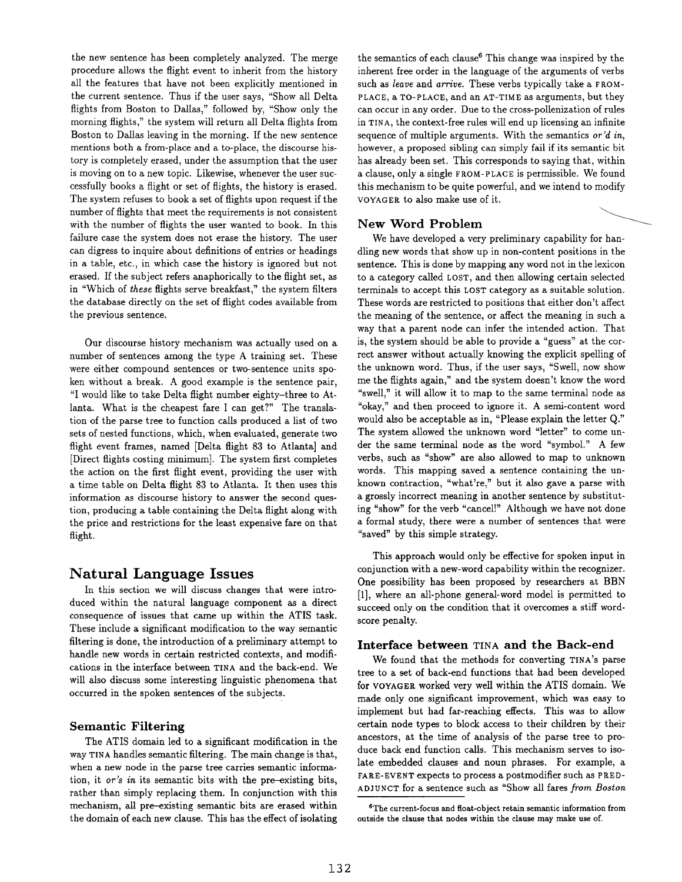the new sentence has been completely analyzed. The merge procedure allows the flight event to inherit from the history all the features that have not been explicitly mentioned in the current sentence. Thus if the user says, "Show all Delta flights from Boston to Dallas," followed by, "Show only the morning flights," the system will return all Delta flights from Boston to Dallas leaving in the morning. If the new sentence mentions both a from-place and a to-place, the discourse history is completely erased, under the assumption that the user is moving on to a new topic. Likewise, whenever the user successfully books a flight or set of flights, the history is erased. The system refuses to book a set of flights upon request if the number of flights that meet the requirements is not consistent with the number of flights the user wanted to book. In this failure case the system does not erase the history. The user can digress to inquire about definitions of entries or headings in a table, etc., in which case the history is ignored but not erased. If the subject refers anaphorically to the flight set, as in "Which of *these* flights serve breakfast," the system filters the database directly on the set of flight codes available from the previous sentence.

Our discourse history mechanism was actually used on a number of sentences among the type A training set. These were either compound sentences or two-sentence units spoken without a break. A good example is the sentence pair, "I would like to take Delta flight number eighty-three to Atlanta. What is the cheapest fare I can get?" The translation of the parse tree to function calls produced a list of two sets of nested functions, which, when evaluated, generate two flight event frames, named [Delta flight 83 to Atlanta] and [Direct flights costing minimum]. The system first completes the action on the first flight event, providing the user with a time table on Delta flight 83 to Atlanta. It then uses this information as discourse history to answer the second question, producing a table containing the Delta flight along with the price and restrictions for the least expensive fare on that flight.

## **Natural Language Issues**

In this section we will discuss changes that were introduced within the natural language component as a direct consequence of issues that came up within the ATIS task. These include a significant modification to the way semantic filtering is done, the introduction of a preliminary attempt to handle new words in certain restricted contexts, and modifications in the interface between TINA and the back-end. We will also discuss some interesting linguistic phenomena that occurred in the spoken sentences of the subjects.

#### **Semantic Filtering**

The ATIS domain led to a significant modification in the way TINA handles semantic filtering. The main change is that, when a new node in the parse tree carries semantic information, it *or's in* its semantic bits with the pre-existing bits, rather than simply replacing them. In conjunction with this mechanism, all pre-existing semantic bits are erased within the domain of each new clause. This has the effect of isolating the semantics of each clause<sup>6</sup> This change was inspired by the inherent free order in the language of the arguments of verbs such as *leave* and *arrive*. These verbs typically take a FROM-PLACE, a TO-PLACE, and an AT-TIME as arguments, but they can occur in any order. Due to the cross-pollenization of rules in TINA, the context-free rules will end up licensing an infinite sequence of multiple arguments. With the semantics *or'd in,*  however, a proposed sibling can simply fail if its semantic bit has already been set. This corresponds to saying that, within a clause, only a single fROM-PLACE is permissible. We found this mechanism to be quite powerful, and we intend to modify VOYAGER to also make use of it.

#### **New Word Problem**

We have developed a very preliminary capability for handling new words that show up in non-content positions in the sentence. This is done by mapping any word not in the lexicon to a category called LOST, and then allowing certain selected terminals to accept this LOST category as a suitable solution. These words are restricted to positions that either don't affect the meaning of the sentence, or affect the meaning in such a way that a parent node can infer the intended action. That is, the system should be able to provide a "guess" at the correct answer without actually knowing the explicit spelling of the unknown word. Thus, if the user says, "Swell, now show me the flights again," and the system doesn't know the word "swell," it will allow it to map to the same terminal node as "okay," and then proceed to ignore it. A semi-content word would also be acceptable as in, "Please explain the letter Q." The system allowed the unknown word "letter" to come under the same terminal node as the word "symbol." A few verbs, such as "show" are also allowed to map to unknown words. This mapping saved a sentence containing the unknown contraction, "what're," but it also gave a parse with a grossly incorrect meaning in another sentence by substituting "show" for the verb "cancel!" Although we have not done a formal study, there were a number of sentences that were "saved" by this simple strategy.

This approach would only be effective for spoken input in conjunction with a new-word capability within the recognizer. One possibility has been proposed by researchers at BBN [1], where an all-phone general-word model is permitted to succeed only on the condition that it overcomes a stiff wordscore penalty.

#### **Interface between TINA and the** Back-end

We found that the methods for converting TINA's parse tree to a set of back-end functions that had been developed for VOYAGER worked very well within the ATIS domain. We made only one significant improvement, which was easy to implement but had far-reaching effects. This was to allow certain node types to block access to their children by their ancestors, at the time of analysis of the parse tree to produce back end function calls. This mechanism serves to isolate embedded clauses and noun phrases. For example, a FARE-EVENT expects to process a postmodifier such as PRED-ADJUNCT for a sentence such as "Show all fares *from Boston* 

SThe **current-focus and float-object retain** semantic information from **outside the clause that** nodes within the clause may make use of.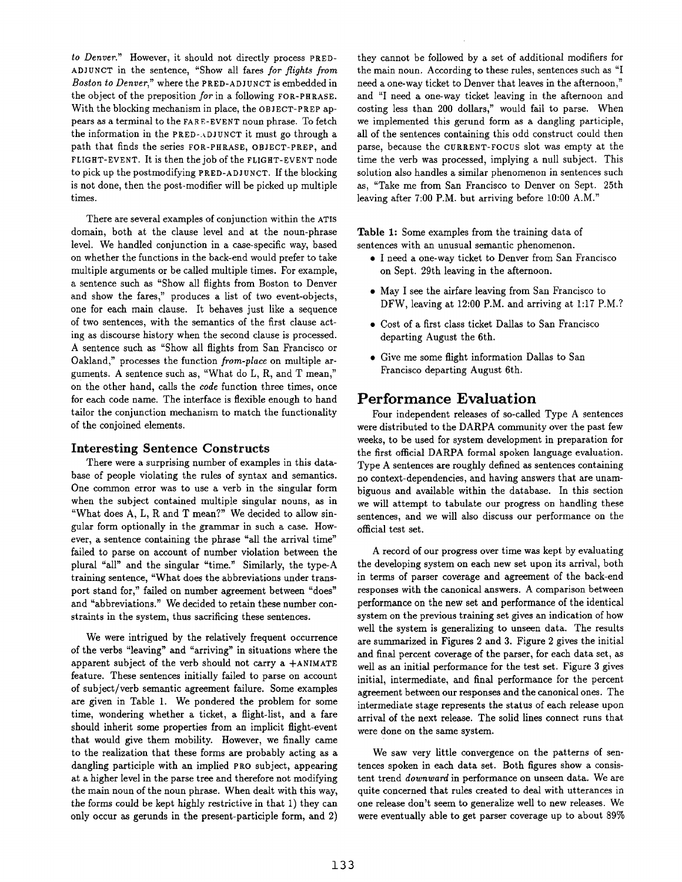*to Denver."* However, it should not directly process PRED-ADJUNCT in the sentence, "Show all fares *for flights from Boston to Denver,"* where the PRED-ADJUNCT is embedded in the object of the preposition *for* in a following FOR-PHRASE. With the blocking mechanism in place, the OBJECT-PREP appears as a terminal to the FARE-EVENT noun phrase. To fetch the information in the PRED-ADJUNCT it must go through a path that finds the series FOR-PItRASE, OBJECT-PREP, and FLIGHT-EVENT. It is then the job of the FLIGHT-EVENT node to pick up the postmodifying PRED-ADJUNCT. If the blocking is not done, then the post-modifier will be picked up multiple times.

There are several examples of conjunction within the ATIS domain, both at the clause level and at the noun-phrase level. We handled conjunction in a case-specific way, based on whether the functions in the back-end would prefer to take multiple arguments or be called multiple times. For example, a sentence such as "Show all flights from Boston to Denver and show the fares," produces a list of two event-objects, one for each main clause. It behaves just like a sequence of two sentences, with the semantics of the first clause acting as discourse history when the second clause is processed. A sentence such as "Show all flights from San Francisco or Oakland," processes the function *from-place* on multiple arguments. A sentence such as, "What do L, R, and T mean," on the other hand, calls the *code* function three times, once for each code name. The interface is flexible enough to hand tailor the conjunction mechanism to match the functionality of the conjoined elements.

#### **Interesting Sentence Constructs**

There were a surprising number of examples in this database of people violating the rules of syntax and semantics. One common error was to use a verb in the singular form when the subject contained multiple singular nouns, as in "What does A, L, R and T mean?" We decided to allow singular form optionally in the grammar in such a case. However, a sentence containing the phrase "all the arrival time" failed to parse on account of number violation between the plural "all" and the singular "time." Similarly, the type-A training sentence, "What does the abbreviations under transport stand for," failed on number agreement between "does" and "abbreviations." We decided to retain these number constraints in the system, thus sacrificing these sentences.

We were intrigued by the relatively frequent occurrence of the verbs "leaving" and "arriving" in situations where the apparent subject of the verb should not carry a  $+ANIMATE$ feature. These sentences initially failed to parse on account of subject/verb semantic agreement failure. Some examples are given in Table 1. We pondered the problem for some time, wondering whether a ticket, a flight-list, and a fare should inherit some properties from an implicit flight-event that would give them mobility. However, we finally came to the realization that these forms are probably acting as a dangling participle with an implied PRo subject, appearing at a higher level in the parse tree and therefore not modifying the main noun of the noun phrase. When dealt with this way, the forms could be kept highly restrictive in that 1) they can only occur as gerunds in the present-participle form, and 2)

they cannot be followed by a set of additional modifiers for the main noun. According to these rules, sentences such as "I need a one-way ticket to Denver that leaves in the afternoon," and "I need a one-way ticket leaving in the afternoon and costing less than 200 dollars," would fail to parse. When we implemented this gerund form as a dangling participle, all of the sentences containing this odd construct could then parse, because the CURRENT-FOCUS slot was empty at the time the verb was processed, implying a null subject. This solution also handles a similar phenomenon in sentences such as, "Take me from San Francisco to Denver on Sept. 25th leaving after 7:00 P.M. but arriving before 10:00 A.M."

Table 1: Some examples from the training data of sentences with an unusual semantic phenomenon.

- I need a one-way ticket to Denver from San Francisco on Sept. 29th leaving in the afternoon.
- May I see the airfare leaving from San Francisco to DFW, leaving at 12:00 P.M. and arriving at 1:17 P.M.?
- Cost of a first class ticket Dallas to San Francisco departing August the 6th.
- Give me some flight information Dallas to San Francisco departing August 6th.

#### Performance **Evaluation**

Four independent releases of so-called Type A sentences were distributed to the DARPA community over the past few weeks, to be used for system development in preparation for the first official DARPA formal spoken language evaluation. Type A sentences are roughly defined as sentences containing no context-dependencies, and having answers that are unambiguous and available within the database. In this section we will attempt to tabulate our progress on handling these sentences, and we will also discuss our performance on the official test set.

A record of our progress over time was kept by evaluating the developing system on each new set upon its arrival, both in terms of parser coverage and agreement of the back-end responses with the canonical answers. A comparison between performance on the new set and performance of the identical system on the previous training set gives an indication of how well the system is generalizing to unseen data. The results are summarized in Figures 2 and 3. Figure 2 gives the initial and final percent coverage of the parser, for each data set, as well as an initial performance for the test set. Figure 3 gives initial, intermediate, and final performance for the percent agreement between our responses and the canonical ones. The intermediate stage represents the status of each release upon arrival of the next release. The solid lines connect runs that were done on the same system.

We saw very little convergence on the patterns of sentences spoken in each data set. Both figures show a consistent trend *downward* in performance on unseen data. We are quite concerned that rules created to deal with utterances in one release don't seem to generalize well to new releases. We were eventually able to get parser coverage up to about 89%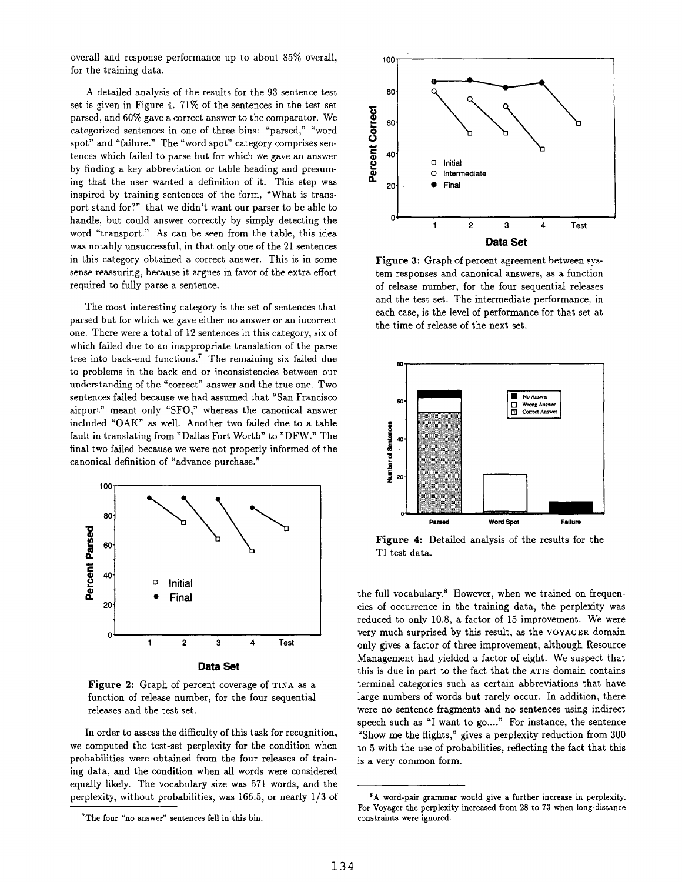overall and response performance up to about 85% overall, for the training data.

A detailed analysis of the results for the 93 sentence test set is given in Figure 4. 71% of the sentences in the test set parsed, and 60% gave a correct answer to the comparator. We categorized sentences in one of three bins: "parsed," "word spot" and "failure." The "word spot" category comprises sentences which failed to parse but for which we gave an answer by finding a key abbreviation or table heading and presuming that the user wanted a definition of it. This step was inspired by training sentences of the form, "What is transport stand for?" that we didn't want our parser to be able to handle, but could answer correctly by simply detecting the word "transport." As can be seen from the table, this idea was notably unsuccessful, in that only one of the 21 sentences in this category obtained a correct answer. This is in some sense reassuring, because it argues in favor of the extra effort required to fully parse a sentence.

The most interesting category is the set of sentences that parsed but for which we gave either no answer or an incorrect one. There were a total of 12 sentences in this category, six of which failed due to an inappropriate translation of the parse tree into back-end functions.<sup>7</sup> The remaining six failed due to problems in the back end or inconsistencies between our understanding of the "correct" answer and the true one. Two sentences failed because we had assumed that "San Francisco airport" meant only "SFO," whereas the canonical answer included "OAK" as well. Another two failed due to a table fault in translating from "Dallas Fort Worth" to "DFW." The final two failed because we were not properly informed of the canonical definition of "advance purchase."



Figure 2: Graph of percent coverage of TINA as a function of release number, for the four sequential releases and the test set.

In order to assess the difficulty of this task for recognition, we computed the test-set perplexity for the condition when probabilities were obtained from the four releases of training data, and the condition when all words were considered equally likely. The vocabulary size was 571 words, and the perplexity, without probabilities, was 166.5, or nearly 1/3 of



Figure 3: Graph of percent agreement between system responses and canonical answers, as a function of release number, for the four sequential releases and the test set. The intermediate performance, in each case, is the level of performance for that set at the time of release of the next set.



Figure 4: Detailed analysis of the results for the TI test data.

the full vocabulary. $8$  However, when we trained on frequencies of occurrence in the training data, the perplexity was reduced to only 10.8, a factor of 15 improvement. We were very much surprised by this result, as the VOYAGER. domain only gives a factor of three improvement, although Resource Management had yielded a factor of eight. We suspect that this is due in part to the fact that the ATIS domain contains terminal categories such as certain abbreviations that have large numbers of words but rarely occur. In addition, there were no sentence fragments and no sentences using indirect speech such as "I want to go...." For instance, the sentence "Show me the flights," gives a perplexity reduction from 300 to 5 with the use of probabilities, reflecting the fact that this is a very common form.

 $7$ The four "no answer" sentences fell in this bin.

<sup>\*</sup>A word-pair grammar would give a further increase in perplexity. For Voyager the perplexity increased from 28 to 73 when long-distance constraints were ignored.